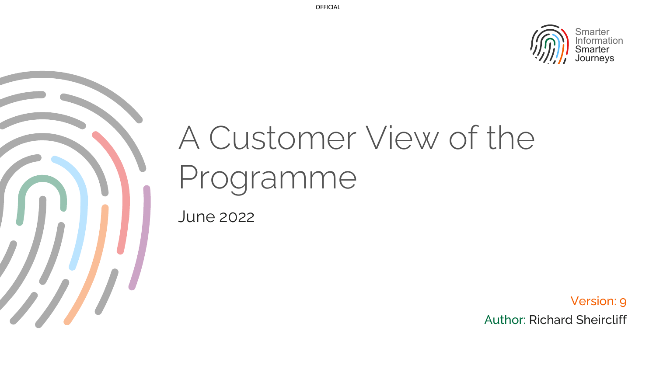

# A Customer View of the Programme

June 2022

Version: 9 Author: Richard Sheircliff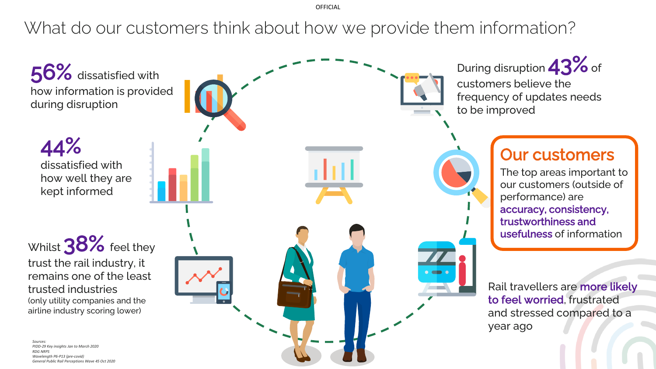OFFICIAL

What do our customers think about how we provide them information?

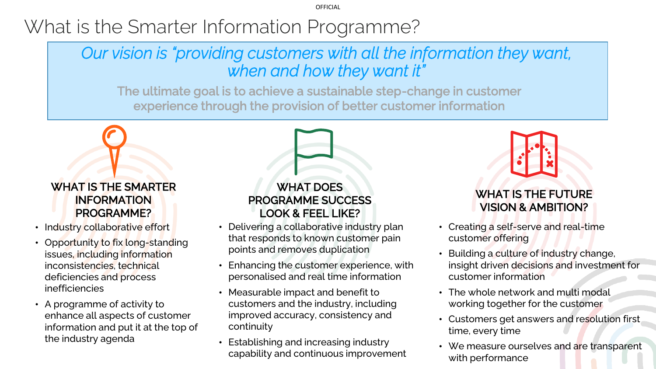OFFICIAL

# What is the Smarter Information Programme?

## *Our vision is "providing customers with all the information they want, when and how they want it"*

The ultimate goal is to achieve a sustainable step-change in customer experience through the provision of better customer information

### WHAT IS THE SMARTER INFORMATION PROGRAMME?

- Industry collaborative effort
- Opportunity to fix long-standing issues, including information inconsistencies, technical deficiencies and process inefficiencies
- A programme of activity to enhance all aspects of customer information and put it at the top of the industry agenda

### WHAT DOES PROGRAMME SUCCESS LOOK & FEEL LIKE?

- Delivering a collaborative industry plan that responds to known customer pain points and removes duplication
- Enhancing the customer experience, with personalised and real time information
- Measurable impact and benefit to customers and the industry, including improved accuracy, consistency and continuity
- Establishing and increasing industry capability and continuous improvement

## WHAT IS THE FUTURE VISION & AMBITION?

- Creating a self-serve and real-time customer offering
- Building a culture of industry change, insight driven decisions and investment for customer information
- The whole network and multi modal working together for the customer
- Customers get answers and resolution first time, every time
- We measure ourselves and are transparent with performance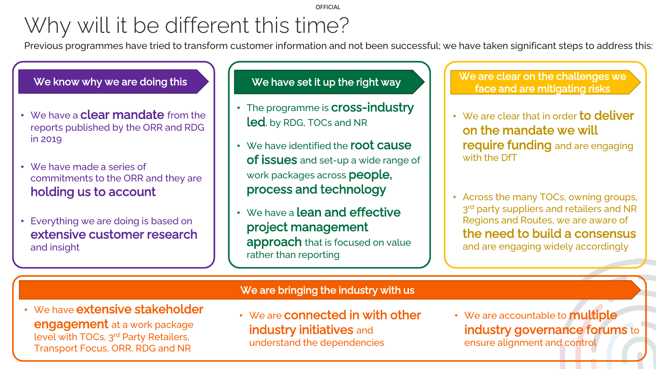#### **OFFICIAL**

# Why will it be different this time?

Previous programmes have tried to transform customer information and not been successful; we have taken significant steps to address this:



- We have a **clear mandate** from the reports published by the ORR and RDG in 2019
- We have made a series of commitments to the ORR and they are holding us to account
- Everything we are doing is based on extensive customer research and insight

- The programme is **Cross-industry** led, by RDG, TOCs and NR
- We have identified the **root cause of issues** and set-up a wide range of work packages across people, process and technology
- We have a **lean and effective** project management approach that is focused on value rather than reporting

We have set it up the right way  $\bigcup_{\alpha}$  We are clear on the challenges we face and are mitigating risks

- We are clear that in order **to deliver** on the mandate we will require funding and are engaging with the DfT
- Across the many TOCs, owning groups, 3<sup>rd</sup> party suppliers and retailers and NR Regions and Routes, we are aware of the need to build a consensus and are engaging widely accordingly

#### We are bringing the industry with us

- We have extensive stakeholder engagement at a work package level with TOCs, 3rd Party Retailers, Transport Focus, ORR, RDG and NR
- We are connected in with other **industry initiatives** and understand the dependencies
- We are accountable to **multiple** industry governance forums to ensure alignment and control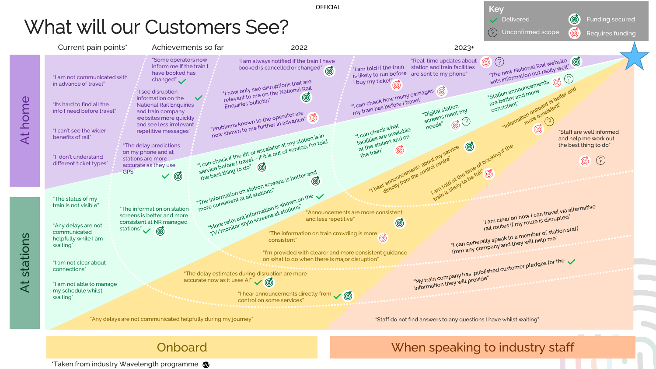

\*Taken from industry Wavelength programme  $\bullet$ 

Onboard When speaking to industry staff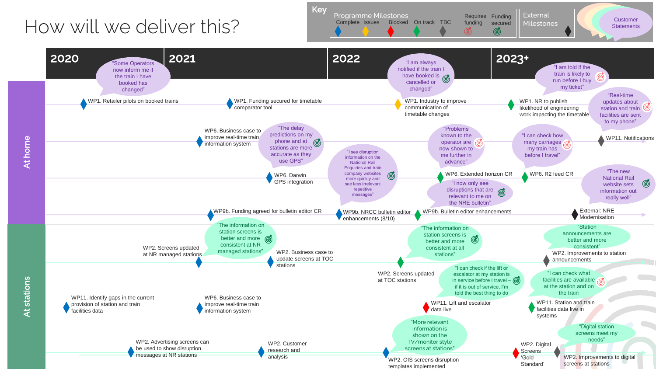# How will we deliver this?